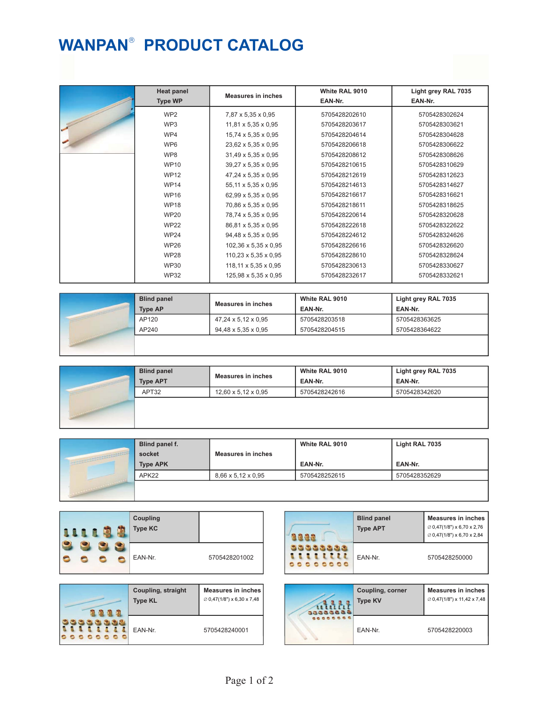## **WANPAN<sup>®</sup> PRODUCT CATALOG**

| <b>Heat panel</b> | <b>Measures in inches</b>        | White RAL 9010 | Light grey RAL 7035 |
|-------------------|----------------------------------|----------------|---------------------|
| <b>Type WP</b>    |                                  | EAN-Nr.        | EAN-Nr.             |
| WP <sub>2</sub>   | 7,87 x 5,35 x 0,95               | 5705428202610  | 5705428302624       |
| WP3               | $11,81 \times 5,35 \times 0,95$  | 5705428203617  | 5705428303621       |
| WP4               | $15,74 \times 5,35 \times 0,95$  | 5705428204614  | 5705428304628       |
| WP <sub>6</sub>   | 23,62 x 5,35 x 0,95              | 5705428206618  | 5705428306622       |
| WP8               | $31,49 \times 5,35 \times 0,95$  | 5705428208612  | 5705428308626       |
| <b>WP10</b>       | 39,27 x 5,35 x 0,95              | 5705428210615  | 5705428310629       |
| <b>WP12</b>       | 47,24 x 5,35 x 0,95              | 5705428212619  | 5705428312623       |
| <b>WP14</b>       | 55,11 x 5,35 x 0,95              | 5705428214613  | 5705428314627       |
| <b>WP16</b>       | 62,99 x 5,35 x 0,95              | 5705428216617  | 5705428316621       |
| <b>WP18</b>       | 70,86 x 5,35 x 0,95              | 5705428218611  | 5705428318625       |
| <b>WP20</b>       | 78,74 x 5,35 x 0,95              | 5705428220614  | 5705428320628       |
| <b>WP22</b>       | 86,81 x 5,35 x 0,95              | 5705428222618  | 5705428322622       |
| <b>WP24</b>       | 94,48 x 5,35 x 0,95              | 5705428224612  | 5705428324626       |
| <b>WP26</b>       | 102,36 x 5,35 x 0,95             | 5705428226616  | 5705428326620       |
| <b>WP28</b>       | $110,23 \times 5,35 \times 0,95$ | 5705428228610  | 5705428328624       |
| <b>WP30</b>       | $118,11 \times 5,35 \times 0,95$ | 5705428230613  | 5705428330627       |
| <b>WP32</b>       | 125,98 x 5,35 x 0,95             | 5705428232617  | 5705428332621       |

| <b>Blind panel</b> | <b>Measures in inches</b> | White RAL 9010 | Light grey RAL 7035 |
|--------------------|---------------------------|----------------|---------------------|
| <b>Type AP</b>     |                           | EAN-Nr.        | EAN-Nr.             |
| AP120              | 47,24 x 5,12 x 0,95       | 5705428203518  | 5705428363625       |
| AP240              | 94,48 x 5,35 x 0,95       | 5705428204515  | 5705428364622       |
|                    |                           |                |                     |

| <b>Blind panel</b><br><b>Type APT</b> | <b>Measures in inches</b>       | White RAL 9010<br>EAN-Nr. | Light grey RAL 7035<br>EAN-Nr. |
|---------------------------------------|---------------------------------|---------------------------|--------------------------------|
| APT32                                 | $12,60 \times 5,12 \times 0,95$ | 5705428242616             | 5705428342620                  |
|                                       |                                 |                           |                                |

| Blind panel f.  |                                | White RAL 9010 | Light RAL 7035 |
|-----------------|--------------------------------|----------------|----------------|
| socket          | <b>Measures in inches</b>      |                |                |
| <b>Type APK</b> |                                | EAN-Nr.        | EAN-Nr.        |
| APK22           | $8,66 \times 5,12 \times 0,95$ | 5705428252615  | 5705428352629  |
|                 |                                |                |                |

| Coupling<br><b>Type KC</b>                  |                                                                     |                     | <b>Blind panel</b><br><b>Type APT</b> | <b>Measures in inches</b><br>$\varnothing$ 0,47(1/8") x 6,70 x 2,76<br>$\varnothing$ 0,47(1/8") x 6,70 x 2,84 |
|---------------------------------------------|---------------------------------------------------------------------|---------------------|---------------------------------------|---------------------------------------------------------------------------------------------------------------|
| EAN-Nr.                                     | 5705428201002                                                       | UUUUNING<br>$\circ$ | EAN-Nr.                               | 5705428250000                                                                                                 |
| <b>Coupling, straight</b><br><b>Type KL</b> | <b>Measures in inches</b><br>$\varnothing$ 0,47(1/8") x 6,30 x 7,48 | --------            | Coupling, corner<br><b>Type KV</b>    | <b>Measures in inches</b><br>$\varnothing$ 0,47(1/8") x 11,42 x 7,48                                          |
| EAN-Nr.                                     | 5705428240001                                                       | 666                 | EAN-Nr.                               | 5705428220003                                                                                                 |